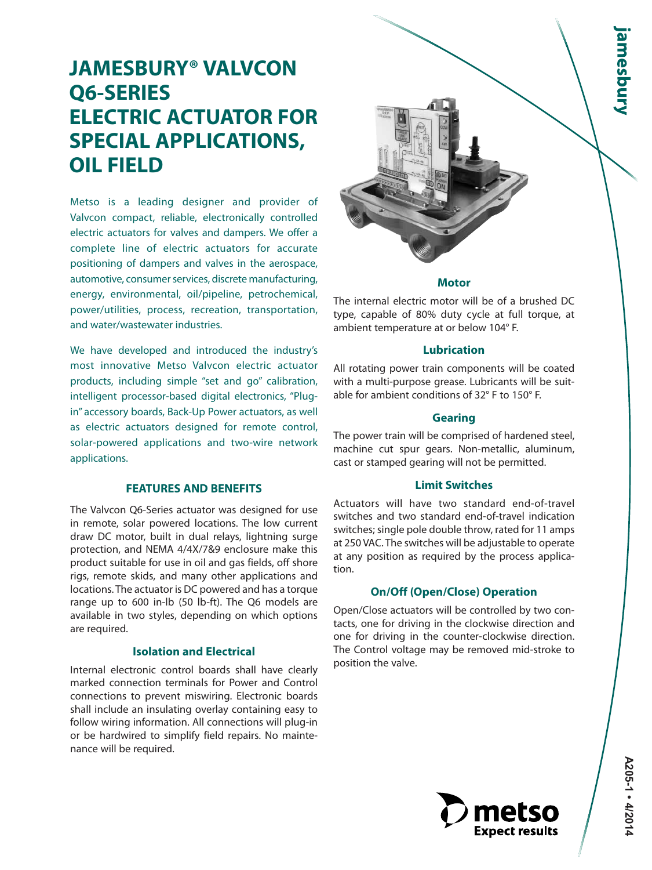# **JAMESBURY® VALVCON Q6-SERIES ELECTRIC ACTUATOR FOR SPECIAL APPLICATIONS, OIL FIELD**

Metso is a leading designer and provider of Valvcon compact, reliable, electronically controlled electric actuators for valves and dampers. We offer a complete line of electric actuators for accurate positioning of dampers and valves in the aerospace, automotive, consumer services, discrete manufacturing, energy, environmental, oil/pipeline, petrochemical, power/utilities, process, recreation, transportation, and water/wastewater industries.

We have developed and introduced the industry's most innovative Metso Valvcon electric actuator products, including simple "set and go" calibration, intelligent processor-based digital electronics, "Plugin" accessory boards, Back-Up Power actuators, as well as electric actuators designed for remote control, solar-powered applications and two-wire network applications.

### **FEATURES AND BENEFITS**

The Valvcon Q6-Series actuator was designed for use in remote, solar powered locations. The low current draw DC motor, built in dual relays, lightning surge protection, and NEMA 4/4X/7&9 enclosure make this product suitable for use in oil and gas fields, off shore rigs, remote skids, and many other applications and locations. The actuator is DC powered and has a torque range up to 600 in-lb (50 lb-ft). The Q6 models are available in two styles, depending on which options are required.

## **Isolation and Electrical**

Internal electronic control boards shall have clearly marked connection terminals for Power and Control connections to prevent miswiring. Electronic boards shall include an insulating overlay containing easy to follow wiring information. All connections will plug-in or be hardwired to simplify field repairs. No maintenance will be required.



### **Motor**

The internal electric motor will be of a brushed DC type, capable of 80% duty cycle at full torque, at ambient temperature at or below 104° F.

### **Lubrication**

All rotating power train components will be coated with a multi-purpose grease. Lubricants will be suitable for ambient conditions of 32° F to 150° F.

### **Gearing**

The power train will be comprised of hardened steel, machine cut spur gears. Non-metallic, aluminum, cast or stamped gearing will not be permitted.

### **Limit Switches**

Actuators will have two standard end-of-travel switches and two standard end-of-travel indication switches; single pole double throw, rated for 11 amps at 250 VAC. The switches will be adjustable to operate at any position as required by the process application.

### **On/Off (Open/Close) Operation**

Open/Close actuators will be controlled by two contacts, one for driving in the clockwise direction and one for driving in the counter-clockwise direction. The Control voltage may be removed mid-stroke to position the valve.

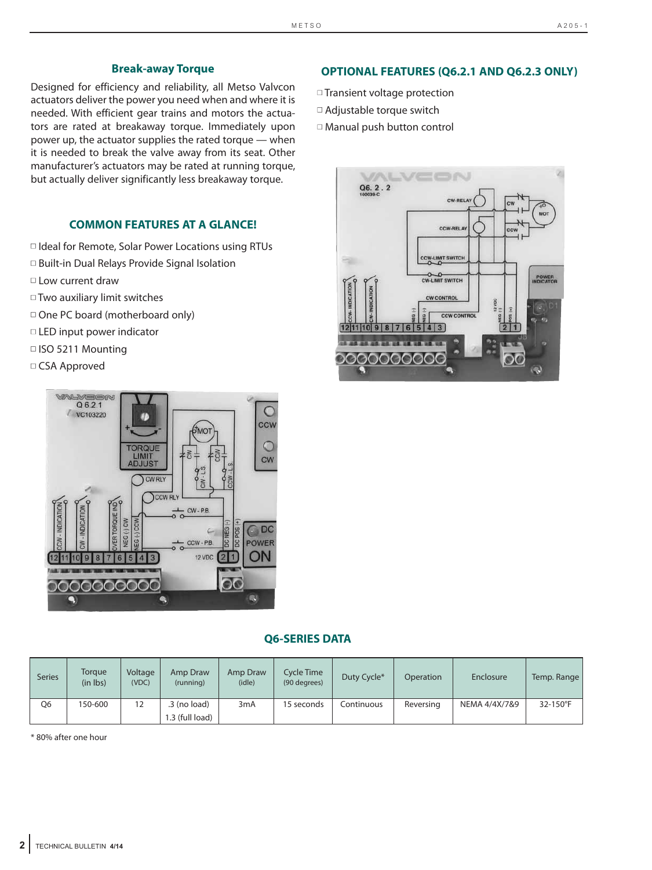### **Break-away Torque**

Designed for efficiency and reliability, all Metso Valvcon actuators deliver the power you need when and where it is needed. With efficient gear trains and motors the actuators are rated at breakaway torque. Immediately upon power up, the actuator supplies the rated torque — when it is needed to break the valve away from its seat. Other manufacturer's actuators may be rated at running torque, but actually deliver significantly less breakaway torque.

## **COMMON FEATURES AT A GLANCE!**

□ Ideal for Remote, Solar Power Locations using RTUs □ Built-in Dual Relays Provide Signal Isolation ■ Low current draw ■ Two auxiliary limit switches □ One PC board (motherboard only)

- LED input power indicator
- ISO 5211 Mounting
- □ CSA Approved



### **Q6-SERIES DATA**

| <b>Series</b> | Torgue<br>(in lbs) | Voltage<br>(VDC)  | Amp Draw<br>(running)             | Amp Draw<br>(idle) | Cycle Time<br>(90 degrees) | Duty Cycle* | Operation | Enclosure     | Temp. Range |
|---------------|--------------------|-------------------|-----------------------------------|--------------------|----------------------------|-------------|-----------|---------------|-------------|
| Q6            | 150-600            | $12 \overline{ }$ | $.3$ (no load)<br>1.3 (full load) | 3 <sub>m</sub> A   | 15 seconds                 | Continuous  | Reversing | NEMA 4/4X/7&9 | 32-150°F    |

\* 80% after one hour

## **OPTIONAL FEATURES (Q6.2.1 AND Q6.2.3 ONLY)**

- □ Transient voltage protection
- □ Adjustable torque switch
- □ Manual push button control

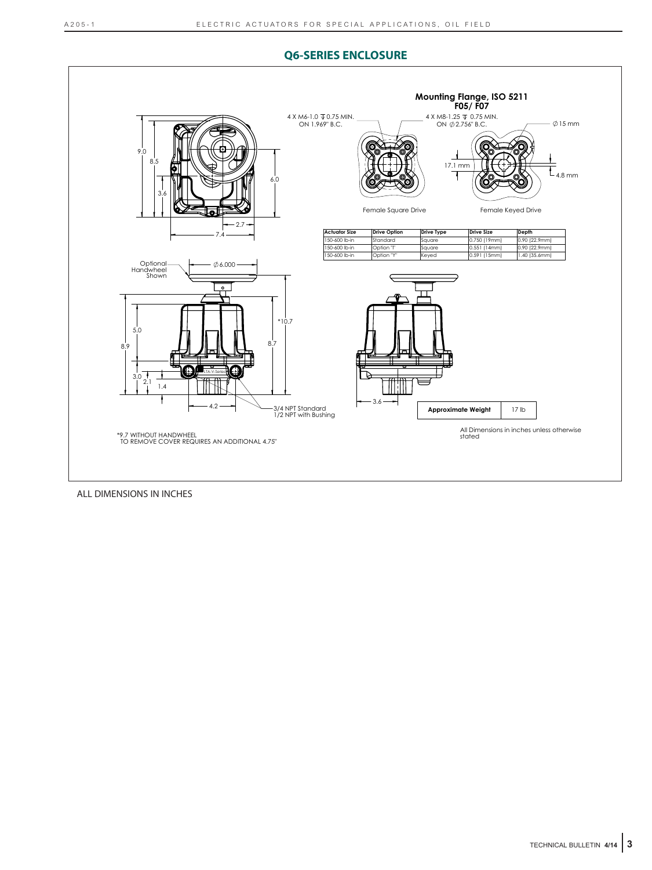### **Q6-SERIES ENCLOSURE**



ALL DIMENSIONS IN INCHES